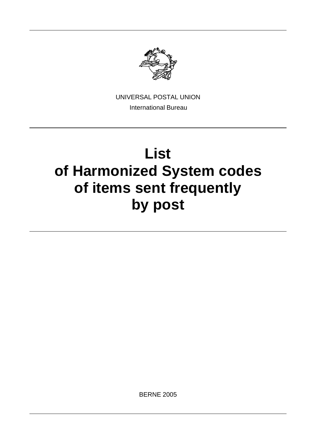

UNIVERSAL POSTAL UNION International Bureau

# **List of Harmonized System codes of items sent frequently by post**

BERNE 2005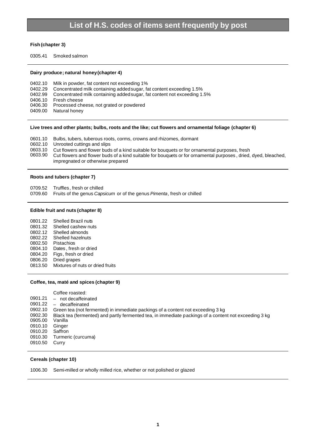### **Fish (chapter 3)**

0305.41 Smoked salmon

#### **Dairy produce; natural honey (chapter 4)**

0402.10 Milk in powder, fat content not exceeding 1% 0402.29 Concentrated milk containing added sugar, fat content exceeding 1.5% 0402.99 Concentrated milk containing added sugar, fat content not exceeding 1.5% 0406.10 Fresh cheese 0406.30 Processed cheese, not grated or powdered 0409.00 Natural honey

#### **Live trees and other plants; bulbs, roots and the like; cut flowers and ornamental foliage (chapter 6)**

- 0601.10 Bulbs, tubers, tuberous roots, corms, crowns and rhizomes, dormant
- 0602.10 Unrooted cuttings and slips
- 0603.10 Cut flowers and flower buds of a kind suitable for bouquets or for ornamental purposes, fresh 0603.90 Cut flowers and flower buds of a kind suitable for bouquets or for ornamental purposes, dried,
- Cut flowers and flower buds of a kind suitable for bouquets or for ornamental purposes, dried, dyed, bleached, impregnated or otherwise prepared

#### **Roots and tubers (chapter 7)**

0709.52 Truffles, fresh or chilled

0709.60 Fruits of the genus *Capsicum* or of the genus *Pimenta*, fresh or chilled

#### **Edible fruit and nuts (chapter 8)**

| 0801.22 | Shelled Brazil nuts              |
|---------|----------------------------------|
| 0801.32 | Shelled cashew nuts              |
| 0802.12 | Shelled almonds                  |
| 0802.22 | Shelled hazelnuts                |
| 0802.50 | Pistachios                       |
| 0804.10 | Dates, fresh or dried            |
| 0804.20 | Figs, fresh or dried             |
| 0806.20 | Dried grapes                     |
| 0813.50 | Mixtures of nuts or dried fruits |

#### **Coffee, tea, maté and spices (chapter 9)**

| Coffee roasted:                                                                                                  |  |
|------------------------------------------------------------------------------------------------------------------|--|
| 0901.21<br>not decaffeinated<br>$\overline{\phantom{m}}$                                                         |  |
| 0901.22<br>decaffeinated                                                                                         |  |
| 0902.10<br>Green tea (not fermented) in immediate packings of a content not exceeding 3 kg                       |  |
| 0902.30<br>Black tea (fermented) and partly fermented tea, in immediate packings of a content not exceeding 3 kg |  |
| 0905.00<br>Vanilla                                                                                               |  |
| 0910.10<br>Ginger                                                                                                |  |
| 0910.20<br>Saffron                                                                                               |  |
| Turmeric (curcuma)<br>0910.30                                                                                    |  |
| 0910.50<br>Curry                                                                                                 |  |

#### **Cereals (chapter 10)**

1006.30 Semi-milled or wholly milled rice, whether or not polished or glazed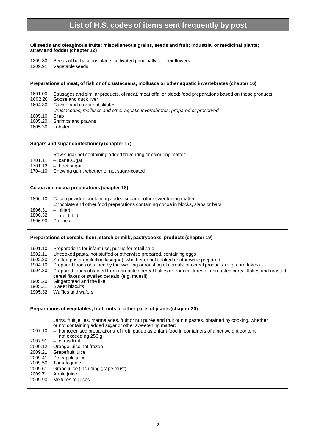#### **Oil seeds and oleaginous fruits; miscellaneous grains, seeds and fruit; industrial or medicinal plants; straw and fodder (chapter 12)**

1209.30 Seeds of herbaceous plants cultivated principally for their flowers

1209.91 Vegetable seeds

#### **Preparations of meat, of fish or of crustaceans, molluscs or other aquatic invertebrates (chapter 16)**

1601.00 Sausages and similar products, of meat, meat offal or blood; food preparations based on these products 1602.20 Goose and duck liver 1604.30 Caviar, and caviar substitutes *Crustaceans, molluscs and other aquatic invertebrates, prepared or preserved* 1605.10 Crab 1605.20 Shrimps and prawns 1605.30 Lobster

#### **Sugars and sugar confectionery (chapter 17)**

Raw sugar not containing added flavouring or colouring matter:

 $1701.11 - \text{cane sugar}$ <br> $1701.12 - \text{beet sugar}$ 

1701.12 – beet sugar<br>1704.10 Chewing gum

Chewing gum, whether or not sugar-coated

#### **Cocoa and cocoa preparations (chapter 18)**

| 1806.10 |  | Cocoa powder, containing added sugar or other sweetening matter |
|---------|--|-----------------------------------------------------------------|
|         |  |                                                                 |

Chocolate and other food preparations containing cocoa in blocks, slabs or bars :

- 1806.31 filled
- not filled<br>Pralines

1806.90

#### **Preparations of cereals, flour, starch or milk; pastrycooks' products (chapter 19)**

- 1901.10 Preparations for infant use, put up for retail sale
- 1902.11 Uncooked pasta, not stuffed or otherwise prepared, containing eggs<br>1902.20 Stuffed pasta (including lasagna) whether or not cooked or otherwis
- 1902.20 Stuffed pasta (including lasagna), whether or not cooked or otherwise prepared<br>1904.10 Prepared foods obtained by the swelling or roasting of cereals or cereal products
- Prepared foods obtained by the swelling or roasting of cereals or cereal products (e.g. cornflakes)
- 1904.20 Prepared foods obtained from unroasted cereal flakes or from mixtures of unroasted cereal flakes and roasted cereal flakes or swelled cereals (e.g. muesli)
- 1905.20 Gingerbread and the like<br>1905.31 Sweet biscuits
- Sweet biscuits
- 1905.32 Waffles and wafers

#### **Preparations of vegetables, fruit, nuts or other parts of plants (chapter 20)**

Jams, fruit jellies, marmalades, fruit or nut purée and fruit or nut pastes, obtained by cooking, whether or not containing added sugar or other sweetening matter:

- 2007.10 homogenised preparations of fruit, put up as enfant food in containers of a net weight content not exceeding 250 g. 2007.91 – citrus fruit Orange juice not frozen 2009.21 Grapefruit juice
- 2009.41 Pineapple juice
- 2009.50 Tomato juice
- 
- 2009.61 Grape juice (including grape must) 2009.71 Apple juice
- 
- 2009.90 Mixtures of juices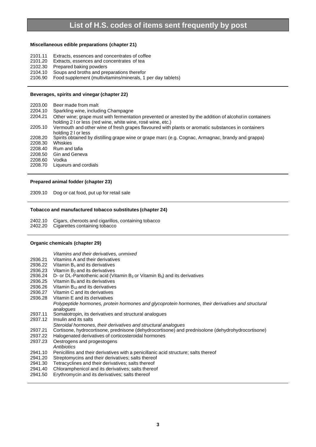#### **Miscellaneous edible preparations (chapter 21)**

- 2101.11 Extracts, essences and concentrates of coffee
- 2101.20 Extracts, essences and concentrates of tea
- 2102.30 Prepared baking powders
- 2104.10 Soups and broths and preparations therefor
- 2106.90 Food supplement (multivitamins/minerals, 1 per day tablets)

#### **Beverages, spirits and vinegar (chapter 22)**

2203.00 Beer made from malt

- 2204.10 Sparkling wine, including Champagne
- 2204.21 Other wine; grape must with fermentation prevented or arrested by the addition of alcohol in containers holding 2 l or less (red wine, white wine, rosé wine, etc.)
- 2205.10 Vermouth and other wine of fresh grapes flavoured with plants or aromatic substances in containers holding 2 l or less
- 2208.20 Spirits obtained by distilling grape wine or grape marc (e.g. Cognac, Armagnac, brandy and grappa) 2208.30 Whiskies
- 2208.40 Rum and tafia
- 2208.50 Gin and Geneva
- 

2208.60 Vodka<br>2208.70 Liqueu Liqueurs and cordials

### **Prepared animal fodder (chapter 23)**

2309.10 Dog or cat food, put up for retail sale

#### **Tobacco and manufactured tobacco substitutes (chapter 24)**

2402.10 Cigars, cheroots and cigarillos, containing tobacco

2402.20 Cigarettes containing tobacco

#### **Organic chemicals (chapter 29)**

|  |  | Vitamins and their derivatives, unmixed |  |
|--|--|-----------------------------------------|--|
|  |  |                                         |  |

- 2936.21 Vitamins A and their derivatives
- 2936.22 Vitamin  $B_1$  and its derivatives
- 2936.23 Vitamin  $B_2$  and its derivatives
- 2936.24 D- or DL-Pantothenic acid (Vitamin  $B_3$  or Vitamin  $B_5$ ) and its derivatives
- 2936.25 Vitamin  $B_6$  and its derivatives
- 2936.26 Vitamin  $B_{12}$  and its derivatives
- 2936.27 Vitamin C and its derivatives
- 2936.28 Vitamin E and its derivatives
- *Polypeptide hormones, protein hormones and glycoprotein hormones, their derivatives and structural analogues*
- 2937.11 Somatotropin, its derivatives and structural analogues
- 2937.12 Insulin and its salts
- *Steroidal hormones, their derivatives and structural analogues*
- 2937.21 Cortisone, hydrocortisone, prednisone (dehydrocortisone) and prednisolone (dehydrohydrocortisone)<br>2937.22 Halogenated derivatives of corticosteroidal hormones
- Halogenated derivatives of corticosteroidal hormones
- 2937.23 Oestrogens and progestogens
- *Antibiotics*
- 2941.10 Penicillins and their derivatives with a penicillanic acid structure; salts thereof<br>2941.20 Streptomycins and their derivatives; salts thereof
- Streptomycins and their derivatives; salts thereof
- 2941.30 Tetracyclines and their derivatives; salts thereof
- 2941.40 Chloramphenicol and its derivatives; salts thereof
- 2941.50 Erythromycin and its derivatives; salts thereof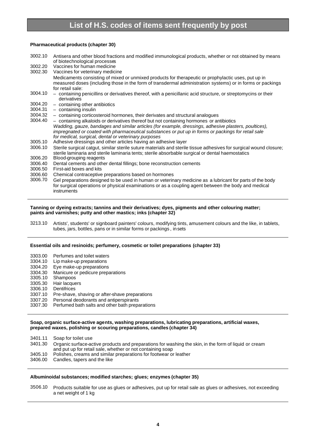#### **Pharmaceutical products (chapter 30)**

- 3002.10 Antisera and other blood fractions and modified immunological products, whether or not obtained by means of biotechnological processes
- 3002.20 Vaccines for human medicine
- 3002.30 Vaccines for veterinary medicine Medicaments consisting of mixed or unmixed products for therapeutic or prophylactic uses, put up in measured doses (including those in the form of transdermal administration systems) or in forms or packings for retail sale:
- 3004.10 containing penicillins or derivatives thereof, with a penicillanic acid structure, or streptomycins or their derivatives
- $3004.20 \text{containing other antibiotics}$ <br> $3004.31 \text{containing insulin}$
- 3004.31 containing insulin
- 3004.32 containing corticosteroid hormones, their derivates and structural analogues
- containing alkaloids or derivatives thereof but not containing hormones or antibiotics *Wadding, gauze, bandages and similar articles (for example, dressings, adhesive plasters, poultices), impregnated or coated with pharmaceutical substances or put up in forms or packings for retail sale for medical, surgical, dental or veterinary purposes*
- 3005.10 Adhesive dressings and other articles having an adhesive layer
- 3006.10 Sterile surgical catgut, similar sterile suture materials and sterile tissue adhesives for surgical wound closure; sterile laminaria and sterile laminaria tents; sterile absorbable surgical or dental haemostatics
- 3006.20 Blood-grouping reagents
- 3006.40 Dental cements and other dental fillings; bone reconstruction cements
- 3006.50 First-aid boxes and kits
- 3006.60 Chemical contraceptive preparations based on hormones
- 3006.70 Gel preparations designed to be used in human or veterinary medicine as a lubricant for parts of the body for surgical operations or physical examinations or as a coupling agent between the body and medical instruments

#### **Tanning or dyeing extracts; tannins and their derivatives; dyes, pigments and other colouring matter; paints and varnishes; putty and other mastics; inks (chapter 32)**

3213.10 Artists', students' or signboard painters' colours, modifying tints, amusement colours and the like, in tablets, tubes, jars, bottles, pans or in similar forms or packings , in sets

#### **Essential oils and resinoids; perfumery, cosmetic or toilet preparations (chapter 33)**

- 3303.00 Perfumes and toilet waters
- 3304.10 Lip make-up preparations
- 3304.20 Eye make-up preparations
- 3304.30 Manicure or pedicure preparations
- 3305.10 Shampoos 3305.30 Hair lacquers
- 3306.10 Dentifrices
- 
- 3307.10 Pre-shave, shaving or after-shave preparations
- 3307.20 Personal deodorants and antiperspirants
- Perfumed bath salts and other bath preparations

#### **Soap, organic surface-active agents, washing preparations, lubricating preparations, artificial waxes, prepared waxes, polishing or scouring preparations, candles (chapter 34)**

3401.11 Soap for toilet use

- 3401.30 Organic surface-active products and preparations for washing the skin, in the form of liquid or cream and put up for retail sale, whether or not containing soap
- 3405.10 Polishes, creams and similar preparations for footwear or leather
- 3406.00 Candles, tapers and the like

#### **Albuminoidal substances; modified starches; glues; enzymes (chapter 35)**

3506.10 Products suitable for use as glues or adhesives, put up for retail sale as glues or adhesives, not exceeding a net weight of 1 kg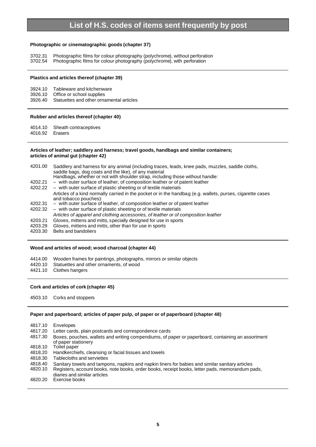#### **Photographic or cinematographic goods (chapter 37)**

3702.31 Photographic films for colour photography (polychrome), without perforation 3702.54 Photographic films for colour photography (polychrome), with perforation

#### **Plastics and articles thereof (chapter 39)**

- 3924.10 Tableware and kitchenware
- 3926.10 Office or school supplies
- 3926.40 Statuettes and other ornamental articles

#### **Rubber and articles thereof (chapter 40)**

4014.10 Sheath contraceptives

4016.92 Erasers

#### **Articles of leather; saddlery and harness; travel goods, handbags and similar containers; articles of animal gut (chapter 42)**

4201.00 Saddlery and harness for any animal (including traces, leads, knee pads, muzzles, saddle cloths, saddle bags, dog coats and the like), of any material Handbags, whether or not with shoulder strap, including those without handle: 4202.21 – with outer surface of leather, of composition leather or of patent leather 4202.22 – with outer surface of plastic sheeting or of textile materials Articles of a kind normally carried in the pocket or in the handbag (e.g. wallets, purses, cigarette cases and tobacco pouches): 4202.31 – with outer surface of leather, of composition leather or of patent leather 4202.32 – with outer surface of plastic sheeting or of textile materials *Articles of apparel and clothing accessories, of leather or of composition leather* 4203.21 Gloves, mittens and mitts, specially designed for use in sports 4203.29 Gloves, mittens and mitts, other than for use in sports 4203.30 Belts and bandoliers Belts and bandoliers

#### **Wood and articles of wood; wood charcoal (chapter 44)**

- 4414.00 Wooden frames for paintings, photographs, mirrors or similar objects
- 4420.10 Statuettes and other ornaments, of wood
- 4421.10 Clothes hangers

#### **Cork and articles of cork (chapter 45)**

4503.10 Corks and stoppers

#### **Paper and paperboard; articles of paper pulp, of paper or of paperboard (chapter 48)**

4817.10 Envelopes

- 4817.20 Letter cards, plain postcards and correspondence cards
- 4817.30 Boxes, pouches, wallets and writing compendiums, of paper or paperboard, containing an assortment of paper stationery
- 4818.10 Toilet paper
- 4818.20 Handkerchiefs, cleansing or facial tissues and towels
- 4818.30 Tablecloths and serviettes
- 4818.40 Sanitary towels and tampons, napkins and napkin liners for babies and similar sanitary articles<br>4820.10 Registers, account books, note books, order books, receipt books, letter pads, memorandum p
- Registers, account books, note books, order books, receipt books, letter pads, memorandum pads,
- diaries and similar articles
- 4820.20 Exercise books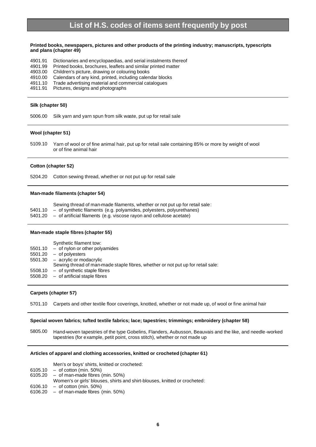#### **Printed books, newspapers, pictures and other products of the printing industry; manuscripts, typescripts and plans (chapter 49)**

- 4901.91 Dictionaries and encyclopaedias, and serial instalments thereof
- 4901.99 Printed books, brochures, leaflets and similar printed matter
- 4903.00 Children's picture, drawing or colouring books
- 4910.00 Calendars of any kind, printed, including calendar blocks
- 4911.10 Trade advertising material and commercial catalogues
- 4911.91 Pictures, designs and photographs

#### **Silk (chapter 50)**

5006.00 Silk yarn and yarn spun from silk waste, put up for retail sale

#### **Wool (chapter 51)**

5109.10 Yarn of wool or of fine animal hair, put up for retail sale containing 85% or more by weight of wool or of fine animal hair

#### **Cotton (chapter 52)**

5204.20 Cotton sewing thread, whether or not put up for retail sale

#### **Man-made filaments (chapter 54)**

|           | Sewing thread of man-made filaments, whether or not put up for retail sale: |
|-----------|-----------------------------------------------------------------------------|
| $EAO4$ 40 | of ounthotic filamente (e.g. polyomides, polyopters, polyurathenes)         |

5401.10 – of synthetic filaments (e.g. polyamides, polyesters, polyurethanes) 5401.20 – of artificial filaments (e.g. viscose rayon and cellulose acetate)

#### **Man-made staple fibres (chapter 55)**

Synthetic filament tow: 5501.10 – of nylon or other polyamides 5501.20 – of polyesters 5501.30 – acrylic or modacrylic Sewing thread of man-made staple fibres, whether or not put up for retail sale: 5508.10 – of synthetic staple fibres 5508.20 – of artificial staple fibres

#### **Carpets (chapter 57)**

5701.10 Carpets and other textile floor coverings, knotted, whether or not made up, of wool or fine animal hair

#### **Special woven fabrics; tufted textile fabrics; lace; tapestries; trimmings; embroidery (chapter 58)**

5805.00 Hand-woven tapestries of the type Gobelins, Flanders, Aubusson, Beauvais and the like, and needle-worked tapestries (for example, petit point, cross stitch), whether or not made up

#### **Articles of apparel and clothing accessories, knitted or crocheted (chapter 61)**

Men's or boys' shirts, knitted or crocheted:

- $6105.10 of cotton (min. 50%)$ <br> $6105.20 of man-made fibres (i.e., 50%)$
- $-$  of man-made fibres (min. 50%)
- Women's or girls' blouses, shirts and shirt-blouses, knitted or crocheted:
- 6106.10 of cotton (min. 50%)
- 6106.20 of man-made fibres (min. 50%)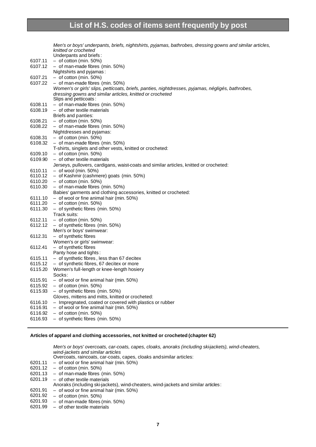|         | Men's or boys' underpants, briefs, nightshirts, pyjamas, bathrobes, dressing gowns and similar articles, |
|---------|----------------------------------------------------------------------------------------------------------|
|         | knitted or crocheted                                                                                     |
|         | Underpants and briefs:                                                                                   |
| 6107.11 | $-$ of cotton (min. 50%)                                                                                 |
| 6107.12 | $-$ of man-made fibres (min. 50%)                                                                        |
|         | Nightshirts and pyjamas:                                                                                 |
| 6107.21 | $-$ of cotton (min. 50%)                                                                                 |
| 6107.22 | $-$ of man-made fibres (min. 50%)                                                                        |
|         | Women's or girls' slips, petticoats, briefs, panties, nightdresses, pyjamas, négligés, bathrobes,        |
|         | dressing gowns and similar articles, knitted or crocheted                                                |
|         | Slips and petticoats:                                                                                    |
| 6108.11 | - of man-made fibres (min. 50%)                                                                          |
| 6108.19 | $-$ of other textile materials                                                                           |
|         |                                                                                                          |
|         | Briefs and panties:                                                                                      |
| 6108.21 | $-$ of cotton (min. 50%)                                                                                 |
| 6108.22 | - of man-made fibres (min. 50%)                                                                          |
|         | Nightdresses and pyjamas:                                                                                |
| 6108.31 | $-$ of cotton (min. 50%)                                                                                 |
| 6108.32 | $-$ of man-made fibres (min. 50%)                                                                        |
|         | T-shirts, singlets and other vests, knitted or crocheted:                                                |
| 6109.10 | $-$ of cotton (min. 50%)                                                                                 |
| 6109.90 | $-$ of other textile materials                                                                           |
|         | Jerseys, pullovers, cardigans, waist-coats and similar articles, knitted or crocheted:                   |
| 6110.11 | $-$ of wool (min. 50%)                                                                                   |
| 6110.12 | - of Kashmir (cashmere) goats (min. 50%)                                                                 |
| 6110.20 | $-$ of cotton (min. 50%)                                                                                 |
| 6110.30 | $-$ of man-made fibres (min. 50%)                                                                        |
|         | Babies' garments and clothing accessories, knitted or crocheted:                                         |
|         | $6111.10 - of$ wool or fine animal hair (min. 50%)                                                       |
| 6111.20 | $-$ of cotton (min. 50%)                                                                                 |
| 6111.30 | - of synthetic fibres (min. 50%)                                                                         |
|         | Track suits:                                                                                             |
| 6112.11 | $-$ of cotton (min. 50%)                                                                                 |
| 6112.12 | $-$ of synthetic fibres (min. 50%)                                                                       |
|         |                                                                                                          |
|         | Men's or boys' swimwear:                                                                                 |
| 6112.31 | - of synthetic fibres                                                                                    |
|         | Women's or girls' swimwear:                                                                              |
| 6112.41 | - of synthetic fibres                                                                                    |
|         | Panty hose and tights:                                                                                   |
| 6115.11 | - of synthetic fibres, less than 67 decitex                                                              |
| 6115.12 | - of synthetic fibres, 67 decitex or more                                                                |
| 6115.20 | Women's full-length or knee-length hosiery                                                               |
|         | Socks:                                                                                                   |
| 6115.91 | - of wool or fine animal hair (min. 50%)                                                                 |
| 6115.92 | $-$ of cotton (min. 50%)                                                                                 |
| 6115.93 | - of synthetic fibres (min. 50%)                                                                         |
|         | Gloves, mittens and mitts, knitted or crocheted:                                                         |
| 6116.10 | - Impregnated, coated or covered with plastics or rubber                                                 |
| 6116.91 | - of wool or fine animal hair (min. 50%)                                                                 |
| 6116.92 | $-$ of cotton (min. 50%)                                                                                 |
| 6116.93 | - of synthetic fibres (min. 50%)                                                                         |
|         |                                                                                                          |

### **Articles of apparel and clothing accessories, not knitted or crocheted (chapter 62)**

*Men's or boys' overcoats, car-coats, capes, cloaks, anoraks (including ski-jackets), wind-cheaters, wind-jackets and similar articles* Overcoats, raincoats, car-coats, capes, cloaks and similar articles:

- 6201.11 of wool or fine animal hair (min. 50%)
- 6201.12 of cotton (min. 50%)
- 6201.13 of man-made fibres (min. 50%)
- 6201.19 of other textile materials

Anoraks (including ski-jackets), wind-cheaters, wind-jackets and similar articles :

- 6201.91 of wool or fine animal hair (min. 50%)
- 6201.92 of cotton (min. 50%)
- 6201.93 of man-made fibres (min. 50%)
- 6201.99 of other textile materials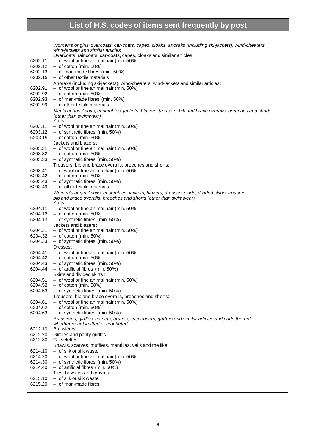|         | Women's or girls' overcoats, car-coats, capes, cloaks, anoraks (including ski-jackets), wind-cheaters,   |
|---------|----------------------------------------------------------------------------------------------------------|
|         | wind-jackets and similar articles                                                                        |
|         | Overcoats, raincoats, car-coats, capes, cloaks and similar articles:                                     |
| 6202.11 | - of wool or fine animal hair (min. 50%)                                                                 |
| 6202.12 | $-$ of cotton (min. 50%)                                                                                 |
| 6202.13 | $-$ of man-made fibres (min. 50%)                                                                        |
| 6202.19 | - of other textile materials                                                                             |
|         | Anoraks (including ski-jackets), wind-cheaters, wind-jackets and similar articles:                       |
| 6202.91 | - of wool or fine animal hair (min. 50%)                                                                 |
| 6202.92 | $-$ of cotton (min. 50%)                                                                                 |
| 6202.93 | $-$ of man-made fibres (min. 50%)                                                                        |
| 6202.99 | $-$ of other textile materials                                                                           |
|         | Men's or boys' suits, ensembles, jackets, blazers, trousers, bib and brace overalls, breeches and shorts |
|         | (other than swimwear)                                                                                    |
|         | Suits:                                                                                                   |
| 6203.11 | $-$ of wool or fine animal hair (min. 50%)                                                               |
| 6203.12 | - of synthetic fibres (min. 50%)                                                                         |
| 6203.19 | $-$ of cotton (min. 50%)                                                                                 |
|         | Jackets and blazers:                                                                                     |
| 6203.31 | - of wool or fine animal hair (min. 50%)                                                                 |
| 6203.32 | $-$ of cotton (min. 50%)                                                                                 |
| 6203.33 | - of synthetic fibres (min. 50%)                                                                         |
|         | Trousers, bib and brace overalls, breeches and shorts:                                                   |
| 6203.41 | $-$ of wool or fine animal hair (min. 50%)                                                               |
| 6203.42 | $-$ of cotton (min. 50%)                                                                                 |
| 6203.43 | $-$ of synthetic fibres (min. 50%)                                                                       |
| 6203.49 | $-$ of other textile materials                                                                           |
|         | Women's or girls' suits, ensembles, jackets, blazers, dresses, skirts, divided skirts, trousers,         |
|         | bib and brace overalls, breeches and shorts (other than swimwear)                                        |
|         | Suits:                                                                                                   |
| 6204.11 | - of wool or fine animal hair (min. 50%)                                                                 |
| 6204.12 | $-$ of cotton (min. 50%)                                                                                 |
| 6204.13 | - of synthetic fibres (min. 50%)                                                                         |
|         | Jackets and blazers:                                                                                     |
| 6204.31 | - of wool or fine animal hair (min. 50%)                                                                 |
| 6204.32 | $-$ of cotton (min. 50%)                                                                                 |
| 6204.33 | - of synthetic fibres (min. 50%)                                                                         |
|         | Dresses:                                                                                                 |
| 6204.41 | - of wool or fine animal hair (min. 50%)                                                                 |
| 6204.42 | $-$ of cotton (min. 50%)                                                                                 |
| 6204.43 | - of synthetic fibres (min. 50%)                                                                         |
| 6204.44 | $-$ of artificial fibres (min. 50%)                                                                      |
|         | Skirts and divided skirts:                                                                               |
| 6204.51 | - of wool or fine animal hair (min. 50%)                                                                 |
| 6204.52 | $-$ of cotton (min. 50%)                                                                                 |
| 6204.53 | - of synthetic fibres (min. 50%)                                                                         |
|         | Trousers, bib and brace overalls, breeches and shorts:                                                   |
| 6204.61 | - of wool or fine animal hair (min. 50%)                                                                 |
| 6204.62 | $-$ of cotton (min. 50%)                                                                                 |
| 6204.63 | - of synthetic fibres (min. 50%)                                                                         |
|         | Brassières, girdles, corsets, braces, suspenders, garters and similar articles and parts thereof,        |
|         | whether or not knitted or crocheted                                                                      |
| 6212.10 | <b>Brassières</b>                                                                                        |
| 6212.20 | Girdles and panty-girdles                                                                                |
| 6212.30 | Corselettes                                                                                              |
|         | Shawls, scarves, mufflers, mantillas, veils and the like:                                                |
| 6214.10 | - of silk or silk waste                                                                                  |
| 6214.20 | - of wool or fine animal hair (min. 50%)                                                                 |
| 6214.30 | $-$ of synthetic fibres (min. 50%)                                                                       |
| 6214.40 | - of artificial fibres (min. 50%)                                                                        |
|         | Ties, bow ties and cravats:                                                                              |
| 6215.10 | - of silk or silk waste                                                                                  |
| 6215.20 | $-$ of man-made fibres                                                                                   |
|         |                                                                                                          |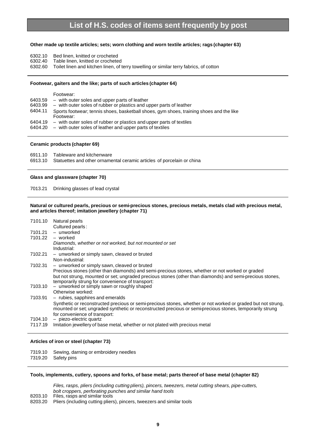#### **Other made up textile articles; sets; worn clothing and worn textile articles; rags (chapter 63)**

- 6302.10 Bed linen, knitted or crocheted
- 6302.40 Table linen, knitted or crocheted
- 6302.60 Toilet linen and kitchen linen, of terry towelling or similar terry fabrics, of cotton

#### **Footwear, gaiters and the like; parts of such articles (chapter 64)**

|         | Footwear:                                                                                            |
|---------|------------------------------------------------------------------------------------------------------|
| 6403.59 | - with outer soles and upper parts of leather                                                        |
| 6403.99 | - with outer soles of rubber or plastics and upper parts of leather                                  |
| 6404.11 | Sports footwear; tennis shoes, basketball shoes, gym shoes, training shoes and the like<br>Footwear: |
| 6404.19 | - with outer soles of rubber or plastics and upper parts of textiles                                 |
|         | $6404.20$ – with outer soles of leather and upper parts of textiles                                  |

#### **Ceramic products (chapter 69)**

| 6911.10 | Tableware and kitchenware                                                      |
|---------|--------------------------------------------------------------------------------|
|         | 6913.10 Statuettes and other ornamental ceramic articles of porcelain or china |

#### **Glass and glassware (chapter 70)**

7013.21 Drinking glasses of lead crystal

#### **Natural or cultured pearls, precious or semi-precious stones, precious metals, metals clad with precious metal, and articles thereof; imitation jewellery (chapter 71)**

| 7101.10 | Natural pearls                                                                                               |
|---------|--------------------------------------------------------------------------------------------------------------|
|         | Cultured pearls:                                                                                             |
| 7101.21 | - unworked                                                                                                   |
| 7101.22 | - worked                                                                                                     |
|         | Diamonds, whether or not worked, but not mounted or set                                                      |
|         | Industrial:                                                                                                  |
| 7102.21 | - unworked or simply sawn, cleaved or bruted                                                                 |
|         | Non-industrial:                                                                                              |
| 7102.31 | - unworked or simply sawn, cleaved or bruted                                                                 |
|         | Precious stones (other than diamonds) and semi-precious stones, whether or not worked or graded              |
|         | but not strung, mounted or set; ungraded precious stones (other than diamonds) and semi-precious stones,     |
|         | temporarily strung for convenience of transport:                                                             |
| 7103.10 | - unworked or simply sawn or roughly shaped                                                                  |
|         | Otherwise worked:                                                                                            |
| 7103.91 | - rubies, sapphires and emeralds                                                                             |
|         | Synthetic or reconstructed precious or semi-precious stones, whether or not worked or graded but not strung, |
|         | mounted or set; ungraded synthetic or reconstructed precious or semi-precious stones, temporarily strung     |
|         | for convenience of transport:                                                                                |
| 7104.10 | - piezo-electric quartz                                                                                      |
| 7117.19 | Imitation jewellery of base metal, whether or not plated with precious metal                                 |

#### **Articles of iron or steel (chapter 73)**

7319.10 Sewing, darning or embroidery needles<br>7319.20 Safety pins Safety pins

#### **Tools, implements, cutlery, spoons and forks, of base metal; parts thereof of base metal (chapter 82)**

*Files, rasps, pliers (including cutting pliers), pincers, tweezers, metal cutting shears, pipe-cutters, bolt croppers, perforating punches and similar hand tools*

- 8203.10 Files, rasps and similar tools
- 8203.20 Pliers (including cutting pliers), pincers, tweezers and similar tools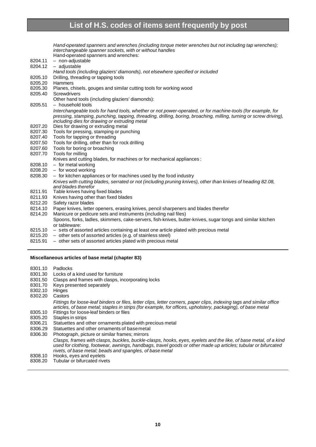*Hand-operated spanners and wrenches (including torque meter wrenches but not including tap wrenches); interchangeable spanner sockets, with or without handles* Hand-operated spanners and wrenches: 8204.11 – non-adjustable 8204.12 – adjustable *Hand tools (including glaziers' diamonds), not elsewhere specified or included* 8205.10 Drilling, threading or tapping tools 8205.20 Hammers 8205.30 Planes, chisels, gouges and similar cutting tools for working wood 8205.40 Screwdrivers Other hand tools (including glaziers' diamonds): 8205.51 – household tools *Interchangeable tools for hand tools, whether or not power-operated, or for machine-tools (for example, for pressing, stamping, punching, tapping, threading, drilling, boring, broaching, milling, turning or screw driving), including dies for drawing or extruding metal* 8207.20 Dies for drawing or extruding metal 8207.30 Tools for pressing, stamping or punching 8207.40 Tools for tapping or threading 8207.50 Tools for drilling, other than for rock drilling 8207.60 Tools for boring or broaching 8207.70 Tools for milling Knives and cutting blades, for machines or for mechanical appliances : 8208.10 – for metal working 8208.20 – for wood working 8208.30 – for kitchen appliances or for machines used by the food industry *Knives with cutting blades, serrated or not (including pruning knives), other than knives of heading 82.08, and blades therefor* 8211.91 Table knives having fixed blades 8211.93 Knives having other than fixed blades 8212.20 Safety razor blades 8214.10 Paper knives, letter openers, erasing knives, pencil sharpeners and blades therefor 8214.20 Manicure or pedicure sets and instruments (including nail files) Spoons, forks, ladles, skimmers, cake-servers, fish-knives, butter-knives, sugar tongs and similar kitchen or tableware: 8215.10 – sets of assorted articles containing at least one article plated with precious metal

- 8215.20 other sets of assorted articles (e.g. of stainless steel)
- 8215.91 other sets of assorted articles plated with precious metal

#### **Miscellaneous articles of base metal (chapter 83)**

8301.10 Padlocks

- 8301.30 Locks of a kind used for furniture
- 8301.50 Clasps and frames with clasps, incorporating locks
- 8301.70 Keys presented separately
- 8302.10 Hinges
- 8302.20 Castors
	- *Fittings for loose-leaf binders or files, letter clips, letter corners, paper clips, indexing tags and similar office articles, of base metal; staples in strips (for example, for offices, upholstery, packaging), of base metal*
- 8305.10 Fittings for loose-leaf binders or files<br>8305.20 Staples in strips Staples in strips
- 8306.21 Statuettes and other ornaments plated with precious metal
- 8306.29 Statuettes and other ornaments of base metal
- 8306.30 Photograph, picture or similar frames; mirrors
	- *Clasps, frames with clasps, buckles, buckle-clasps, hooks, eyes, eyelets and the like, of base metal, of a kind used for clothing, footwear, awnings, handbags, travel goods or other made up articles; tubular or bifurcated rivets, of base metal; beads and spangles, of base metal*
- 8308.10 Hooks, eyes and eyelets<br>8308.20 Tubular or bifurcated rive
- Tubular or bifurcated rivets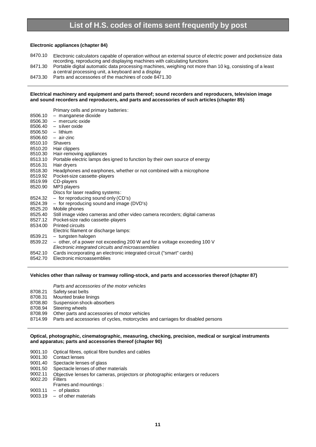#### **Electronic appliances (chapter 84)**

8470.10 Electronic calculators capable of operation without an external source of electric power and pocket-size data recording, reproducing and displaying machines with calculating functions

- 8471.30 Portable digital automatic data processing machines, weighing not more than 10 kg, consisting of a least a central processing unit, a keyboard and a display
- 8473.30 Parts and accessories of the machines of code 8471.30

#### **Electrical machinery and equipment and parts thereof; sound recorders and reproducers, television image and sound recorders and reproducers, and parts and accessories of such articles (chapter 85)**

Primary cells and primary batteries: 8506.10 – manganese dioxide 8506.30 – mercuric oxide 8506.40 – silver oxide 8506.50 – lithium 8506.60 – air-zinc 8510.10 Shavers 8510.20 Hair clippers 8510.30 Hair-removing appliances 8513.10 Portable electric lamps des igned to function by their own source of energy 8516.31 Hair dryers 8518.30 Headphones and earphones, whether or not combined with a microphone 8519.92 Pocket-size cassette-players 8519.99 CD-players 8520.90 MP3 players Discs for laser reading systems: 8524.32 – for reproducing sound only (CD's) 8524.39 – for reproducing sound and image (DVD's) 8525.20 Mobile phones 8525.40 Still image video cameras and other video camera recorders; digital cameras 8527.12 Pocket-size radio cassette-players 8534.00 Printed circuits Electric filament or discharge lamps: 8539.21 – tungsten halogen

- 8539.22 *–* other, of a power not exceeding 200 W and for a voltage exceeding 100 V
- *Electronic integrated circuits and microassemblies*
- 8542.10 Cards incorporating an electronic integrated circuit ("smart" cards)
- 8542.70 Electronic microassemblies

#### **Vehicles other than railway or tramway rolling-stock, and parts and accessories thereof (chapter 87)**

*Parts and accessories of the motor vehicles*

- 8708.21 Safety seat belts
- 8708.31 Mounted brake linings
- 8708.80 Suspension shock-absorbers
- 8708.94 Steering wheels
- 8708.99 Other parts and accessories of motor vehicles
- 8714.99 Parts and accessories of cycles, motorcycles and carriages for disabled persons

#### **Optical, photographic, cinematographic, measuring, checking, precision, medical or surgical instruments and apparatus; parts and accessories thereof (chapter 90)**

- 9001.10 Optical fibres, optical fibre bundles and cables
- 9001.30 Contact lenses
- 9001.40 Spectacle lenses of glass
- 9001.50 Spectacle lenses of other materials
- 9002.11 Objective lenses for cameras, projectors or photographic enlargers or reducers<br>9002.20 Filters
- 9002.20
- Frames and mountings :
- $9003.11 of plastics$
- 9003.19 of other materials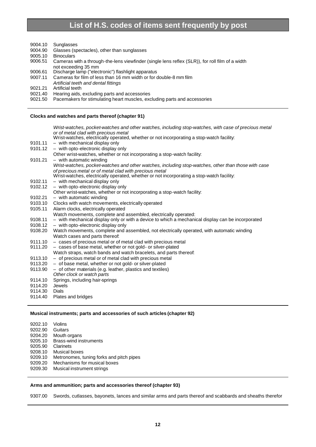| 9004.10 | Sunglasses                                                                                                                        |
|---------|-----------------------------------------------------------------------------------------------------------------------------------|
| 9004.90 | Glasses (spectacles), other than sunglasses                                                                                       |
| 9005.10 | <b>Binoculars</b>                                                                                                                 |
| 9006.51 | Cameras with a through-the-lens viewfinder (single lens reflex (SLR)), for roll film of a width                                   |
|         | not exceeding 35 mm                                                                                                               |
| 9006.61 | Discharge lamp ("electronic") flashlight apparatus                                                                                |
| 9007.11 | Cameras for film of less than 16 mm width or for double-8 mm film                                                                 |
|         | Artificial teeth and dental fittings                                                                                              |
| 9021.21 | Artificial teeth                                                                                                                  |
| 9021.40 | Hearing aids, excluding parts and accessories                                                                                     |
| 9021.50 | Pacemakers for stimulating heart muscles, excluding parts and accessories                                                         |
|         | Clocks and watches and parts thereof (chapter 91)                                                                                 |
|         |                                                                                                                                   |
|         | Wrist-watches, pocket-watches and other watches, including stop-watches, with case of precious metal                              |
|         | or of metal clad with precious metal<br>Wrist-watches, electrically operated, whether or not incorporating a stop-watch facility: |
| 9101.11 | - with mechanical display only                                                                                                    |
| 9101.12 | - with opto-electronic display only                                                                                               |
|         | Other wrist-watches, whether or not incorporating a stop-watch facility:                                                          |
| 9101.21 | $-$ with automatic winding                                                                                                        |
|         | Wrist-watches, pocket-watches and other watches, including stop-watches, other than those with case                               |
|         | of precious metal or of metal clad with precious metal                                                                            |
|         | Wrist-watches, electrically operated, whether or not incorporating a stop-watch facility:                                         |
| 9102.11 | - with mechanical display only                                                                                                    |
| 9102.12 | - with opto-electronic display only                                                                                               |
|         | Other wrist-watches, whether or not incorporating a stop-watch facility:                                                          |
| 9102.21 | $-$ with automatic winding                                                                                                        |
| 9103.10 | Clocks with watch movements, electrically operated                                                                                |
| 9105.11 | Alarm clocks, electrically operated                                                                                               |
|         | Watch movements, complete and assembled, electrically operated:                                                                   |
| 9108.11 | - with mechanical display only or with a device to which a mechanical display can be incorporated                                 |
| 9108.12 | - with opto-electronic display only                                                                                               |
| 9108.20 | Watch movements, complete and assembled, not electrically operated, with automatic winding                                        |
|         | Watch cases and parts thereof:                                                                                                    |
| 9111.10 | - cases of precious metal or of metal clad with precious metal                                                                    |
| 9111.20 | - cases of base metal, whether or not gold- or silver-plated                                                                      |
|         | Watch straps, watch bands and watch bracelets, and parts thereof:                                                                 |
| 9113.10 | - of precious metal or of metal clad with precious metal                                                                          |
| 9113.20 | - of base metal, whether or not gold- or silver-plated                                                                            |
| 9113.90 | - of other materials (e.g. leather, plastics and textiles)                                                                        |
|         | Other clock or watch parts                                                                                                        |
| 9114.10 | Springs, including hair-springs                                                                                                   |
|         |                                                                                                                                   |

- 9114.20 Jewels
- 9114.30 Dials<br>9114.40 Plate
- Plates and bridges

#### **Musical instruments; parts and accessories of such articles (chapter 92)**

| 9202.10 | Violins                                  |
|---------|------------------------------------------|
| 9202.90 | Guitars                                  |
| 9204.20 | Mouth organs                             |
| 9205.10 | Brass-wind instruments                   |
| 9205.90 | Clarinets                                |
| 9208.10 | Musical boxes                            |
| 9209.10 | Metronomes, tuning forks and pitch pipes |
| 9209.20 | Mechanisms for musical boxes             |
| 9209.30 | Musical instrument strings               |
|         |                                          |

#### **Arms and ammunition; parts and accessories thereof (chapter 93)**

9307.00 Swords, cutlasses, bayonets, lances and similar arms and parts thereof and scabbards and sheaths therefor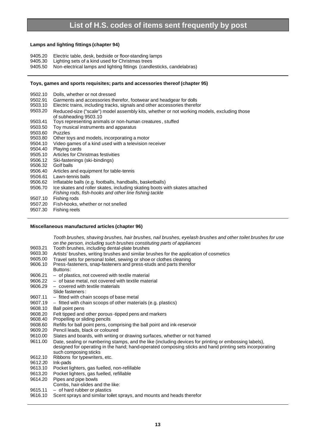#### **Lamps and lighting fittings (chapter 94)**

- 9405.20 Electric table, desk, bedside or floor-standing lamps
- 9405.30 Lighting sets of a kind used for Christmas trees
- 9405.50 Non-electrical lamps and lighting fittings (candlesticks, candelabras)

#### **Toys, games and sports requisites; parts and accessories thereof (chapter 95)**

- 9502.10 Dolls, whether or not dressed
- 9502.91 Garments and accessories therefor, footwear and headgear for dolls
- 9503.10 Electric trains, including tracks, signals and other accessories therefor
- 9503.20 Reduced-size ("scale") model assembly kits, whether or not working models, excluding those
- of subheading 9503.10 9503.41 Toys representing animals or non-human creatures , stuffed
- 9503.50 Toy musical instruments and apparatus
- 9503.60 Puzzles
- 9503.80 Other toys and models, incorporating a motor
- 9504.10 Video games of a kind used with a television receiver
- 9504.40 Playing cards
- 9505.10 Articles for Christmas festivities
- 9506.12 Ski-fastenings (ski-bindings)
- Golf balls
- 9506.40 Articles and equipment for table-tennis
- 9506.61 Lawn-tennis balls
- 9506.62 Inflatable balls (e.g. footballs, handballs, basketballs)
- 9506.70 Ice skates and roller skates, including skating boots with skates attached *Fishing rods, fish-hooks and other line fishing tackle*
- 9507.10 Fishing rods
- 9507.20 Fish-hooks, whether or not snelled
- 9507.30 Fishing reels

#### **Miscellaneous manufactured articles (chapter 96)**

*Tooth brushes, shaving brushes, hair brushes, nail brushes, eyelash brushes and other toilet brushes for use on the person, including such brushes constituting parts of appliances*

- 9603.21 Tooth brushes, including dental-plate brushes
- 9603.30 Artists' brushes, writing brushes and similar brushes for the application of cosmetics<br>9605.00 Travel sets for personal toilet, sewing or shoe or clothes cleaning
- 9605.00 Travel sets for personal toilet, sewing or shoe or clothes cleaning<br>9606.10 Press-fasteners, snap-fasteners and press-studs and parts theref
- Press-fasteners, snap-fasteners and press-studs and parts therefor
- Buttons:
- 9606.21 of plastics, not covered with textile material
- 9606.22 of base metal, not covered with textile material
- 9606.29 covered with textile materials
- Slide fasteners :
- 9607.11 fitted with chain scoops of base metal
- 9607.19 fitted with chain scoops of other materials (e.g. plastics)
- 9608.10 Ball point pens
- 9608.20 Felt tipped and other porous -tipped pens and markers<br>9608.40 Propelling or sliding pencils
- Propelling or sliding pencils
- 9608.60 Refills for ball point pens, comprising the ball point and ink-reservoir
- 9609.20 Pencil leads, black or coloured
- 9610.00 Slates and boards, with writing or drawing surfaces, whether or not framed
- 9611.00 Date, sealing or numbering stamps, and the like (including devices for printing or embossing labels), designed for operating in the hand; hand-operated composing sticks and hand printing sets incorporating such composing sticks
- 9612.10 Ribbons for typewriters, etc.<br>9612.20 Ink-pads
- Ink-pads
- 9613.10 Pocket lighters, gas fuelled, non-refillable
- 9613.20 Pocket lighters, gas fuelled, refillable
- 9614.20 Pipes and pipe bowls
- Combs, hair-slides and the like:
- 9615.11 of hard rubber or plastics
- 9616.10 Scent sprays and similar toilet sprays, and mounts and heads therefor